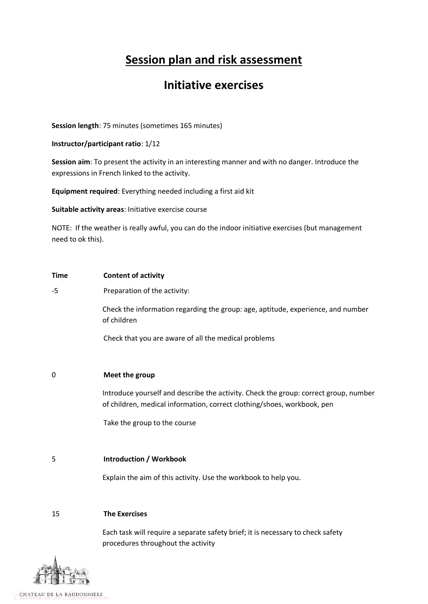# **Session plan and risk assessment**

## **Initiative exercises**

**Session length**: 75 minutes (sometimes 165 minutes)

**Instructor/participant ratio**: 1/12

**Session aim**: To present the activity in an interesting manner and with no danger. Introduce the expressions in French linked to the activity.

**Equipment required**: Everything needed including a first aid kit

**Suitable activity areas**: Initiative exercise course

NOTE: If the weather is really awful, you can do the indoor initiative exercises (but management need to ok this).

| <b>Time</b> | <b>Content of activity</b>                                                                                                                                      |  |  |  |  |
|-------------|-----------------------------------------------------------------------------------------------------------------------------------------------------------------|--|--|--|--|
| -5          | Preparation of the activity:                                                                                                                                    |  |  |  |  |
|             | Check the information regarding the group: age, aptitude, experience, and number<br>of children                                                                 |  |  |  |  |
|             | Check that you are aware of all the medical problems                                                                                                            |  |  |  |  |
|             |                                                                                                                                                                 |  |  |  |  |
| 0           | Meet the group                                                                                                                                                  |  |  |  |  |
|             | Introduce yourself and describe the activity. Check the group: correct group, number<br>of children, medical information, correct clothing/shoes, workbook, pen |  |  |  |  |
|             | Take the group to the course                                                                                                                                    |  |  |  |  |
|             |                                                                                                                                                                 |  |  |  |  |
| 5           | <b>Introduction / Workbook</b>                                                                                                                                  |  |  |  |  |
|             | Explain the aim of this activity. Use the workbook to help you.                                                                                                 |  |  |  |  |
|             |                                                                                                                                                                 |  |  |  |  |
| 15          | <b>The Exercises</b>                                                                                                                                            |  |  |  |  |
|             | Each task will require a separate safety brief; it is necessary to check safety<br>procedures throughout the activity                                           |  |  |  |  |

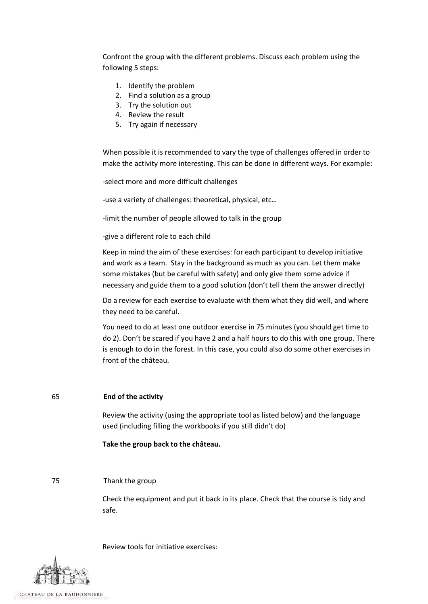Confront the group with the different problems. Discuss each problem using the following 5 steps:

- 1. Identify the problem
- 2. Find a solution as a group
- 3. Try the solution out
- 4. Review the result
- 5. Try again if necessary

When possible it is recommended to vary the type of challenges offered in order to make the activity more interesting. This can be done in different ways. For example:

-select more and more difficult challenges

-use a variety of challenges: theoretical, physical, etc…

-limit the number of people allowed to talk in the group

-give a different role to each child

Keep in mind the aim of these exercises: for each participant to develop initiative and work as a team. Stay in the background as much as you can. Let them make some mistakes (but be careful with safety) and only give them some advice if necessary and guide them to a good solution (don't tell them the answer directly)

Do a review for each exercise to evaluate with them what they did well, and where they need to be careful.

You need to do at least one outdoor exercise in 75 minutes (you should get time to do 2). Don't be scared if you have 2 and a half hours to do this with one group. There is enough to do in the forest. In this case, you could also do some other exercises in front of the château.

#### 65 **End of the activity**

Review the activity (using the appropriate tool as listed below) and the language used (including filling the workbooks if you still didn't do)

**Take the group back to the château.**

#### 75 Thank the group

Check the equipment and put it back in its place. Check that the course is tidy and safe.

Review tools for initiative exercises: